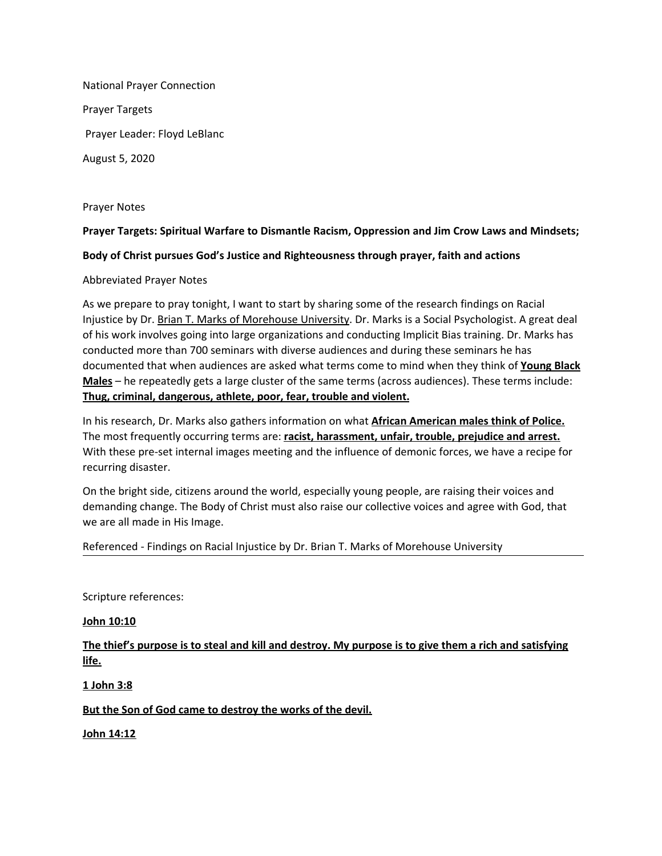National Prayer Connection Prayer Targets Prayer Leader: Floyd LeBlanc August 5, 2020

Prayer Notes

**Prayer Targets: Spiritual Warfare to Dismantle Racism, Oppression and Jim Crow Laws and Mindsets;**

## **Body of Christ pursues God's Justice and Righteousness through prayer, faith and actions**

Abbreviated Prayer Notes

As we prepare to pray tonight, I want to start by sharing some of the research findings on Racial Injustice by Dr. Brian T. Marks of Morehouse University. Dr. Marks is a Social Psychologist. A great deal of his work involves going into large organizations and conducting Implicit Bias training. Dr. Marks has conducted more than 700 seminars with diverse audiences and during these seminars he has documented that when audiences are asked what terms come to mind when they think of **Young Black Males** – he repeatedly gets a large cluster of the same terms (across audiences). These terms include: **Thug, criminal, dangerous, athlete, poor, fear, trouble and violent.**

In his research, Dr. Marks also gathers information on what **African American males think of Police.** The most frequently occurring terms are: **racist, harassment, unfair, trouble, prejudice and arrest.** With these pre-set internal images meeting and the influence of demonic forces, we have a recipe for recurring disaster.

On the bright side, citizens around the world, especially young people, are raising their voices and demanding change. The Body of Christ must also raise our collective voices and agree with God, that we are all made in His Image.

Referenced - Findings on Racial Injustice by Dr. Brian T. Marks of Morehouse University

Scripture references:

**John 10:10**

The thief's purpose is to steal and kill and destroy. My purpose is to give them a rich and satisfying **life.**

**1 John 3:8**

**But the Son of God came to destroy the works of the devil.**

**John 14:12**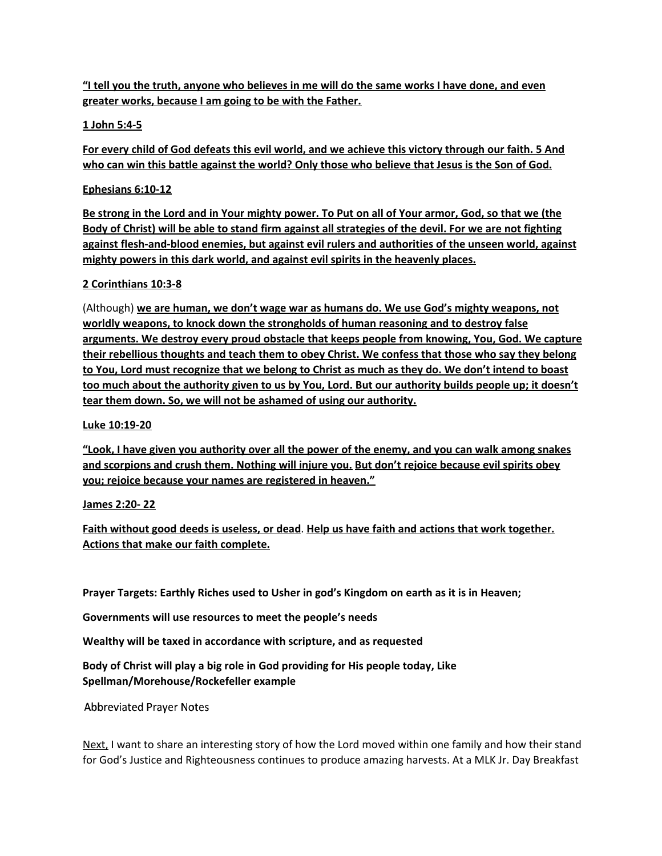"I tell you the truth, anyone who believes in me will do the same works I have done, and even **greater works, because I am going to be with the Father.**

## **1 John 5:4-5**

For every child of God defeats this evil world, and we achieve this victory through our faith. 5 And who can win this battle against the world? Only those who believe that Jesus is the Son of God.

## **Ephesians 6:10-12**

Be strong in the Lord and in Your mighty power. To Put on all of Your armor, God, so that we (the Body of Christ) will be able to stand firm against all strategies of the devil. For we are not fighting **against flesh-and-blood enemies, but against evil rulers and authorities of the unseen world, against mighty powers in this dark world, and against evil spirits in the heavenly places.**

## **2 Corinthians 10:3-8**

(Although) **we are human, we don't wage war as humans do. We use God's mighty weapons, not worldly weapons, to knock down the strongholds of human reasoning and to destroy false arguments. We destroy every proud obstacle that keeps people from knowing, You, God. We capture their rebellious thoughts and teach them to obey Christ. We confess that those who say they belong** to You, Lord must recognize that we belong to Christ as much as they do. We don't intend to boast too much about the authority given to us by You, Lord. But our authority builds people up; it doesn't **tear them down. So, we will not be ashamed of using our authority.**

### **Luke 10:19-20**

"Look, I have given you authority over all the power of the enemy, and you can walk among snakes **and scorpions and crush them. Nothing will injure you. But don't rejoice because evil spirits obey you; rejoice because your names are registered in heaven."**

### **James 2:20- 22**

**Faith without good deeds is useless, or dead**. **Help us have faith and actions that work together. Actions that make our faith complete.**

**Prayer Targets: Earthly Riches used to Usher in god's Kingdom on earth as it is in Heaven;**

**Governments will use resources to meet the people's needs**

**Wealthy will be taxed in accordance with scripture, and as requested**

# **Body of Christ will play a big role in God providing for His people today, Like Spellman/Morehouse/Rockefeller example**

**Abbreviated Prayer Notes** 

Next, I want to share an interesting story of how the Lord moved within one family and how their stand for God's Justice and Righteousness continues to produce amazing harvests. At a MLK Jr. Day Breakfast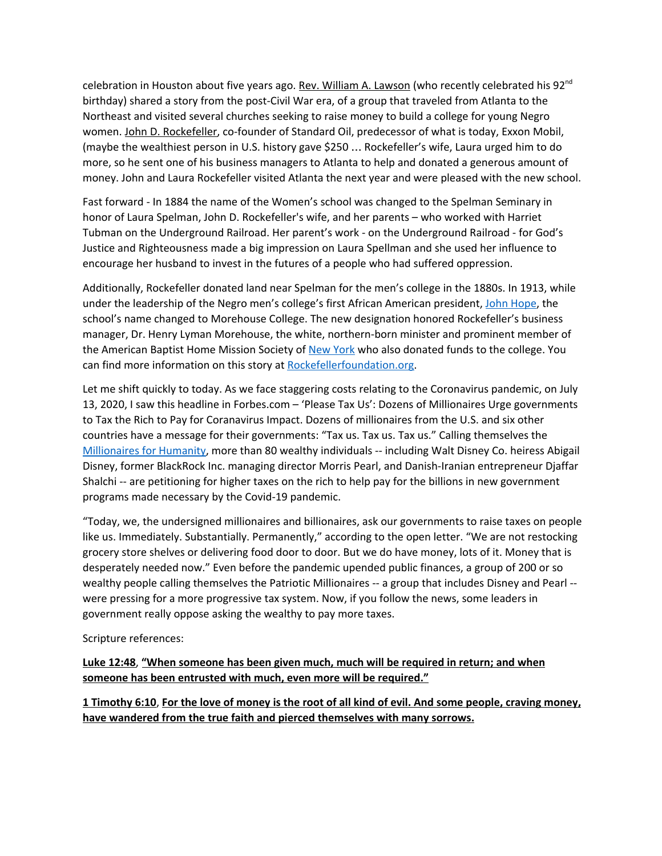celebration in Houston about five years ago. Rev. William A. Lawson (who recently celebrated his 92<sup>nd</sup> birthday) shared a story from the post-Civil War era, of a group that traveled from Atlanta to the Northeast and visited several churches seeking to raise money to build a college for young Negro women. John D. Rockefeller, co-founder of Standard Oil, predecessor of what is today, Exxon Mobil, (maybe the wealthiest person in U.S. history gave \$250 … Rockefeller's wife, Laura urged him to do more, so he sent one of his business managers to Atlanta to help and donated a generous amount of money. John and Laura Rockefeller visited Atlanta the next year and were pleased with the new school.

Fast forward - In 1884 the name of the Women's school was changed to the Spelman Seminary in honor of Laura Spelman, John D. Rockefeller's wife, and her parents – who worked with Harriet Tubman on the Underground Railroad. Her parent's work - on the Underground Railroad - for God's Justice and Righteousness made a big impression on Laura Spellman and she used her influence to encourage her husband to invest in the futures of a people who had suffered oppression.

Additionally, Rockefeller donated land near Spelman for the men's college in the 1880s. In 1913, while under the leadership of the Negro men's college's first African American president, John [Hope](https://www.blackpast.org/aah/john-hope-1868-1936), the school's name changed to Morehouse College. The new designation honored Rockefeller's business manager, Dr. Henry Lyman Morehouse, the white, northern-born minister and prominent member of the American Baptist Home Mission Society of [New](https://www.blackpast.org/entries-categories/new-york) York who also donated funds to the college. You can find more information on this story at [Rockefellerfoundation.org](http://rockefellerfoundation.org/).

Let me shift quickly to today. As we face staggering costs relating to the Coronavirus pandemic, on July 13, 2020, I saw this headline in Forbes.com – 'Please Tax Us': Dozens of Millionaires Urge governments to Tax the Rich to Pay for Coranavirus Impact. Dozens of millionaires from the U.S. and six other countries have a message for their governments: "Tax us. Tax us. Tax us." Calling themselves the [Millionaires](http://millionairesforhumanity.org/) for Humanity, more than 80 wealthy individuals -- including Walt Disney Co. heiress Abigail Disney, former BlackRock Inc. managing director Morris Pearl, and Danish-Iranian entrepreneur Djaffar Shalchi -- are petitioning for higher taxes on the rich to help pay for the billions in new government programs made necessary by the Covid-19 pandemic.

"Today, we, the undersigned millionaires and billionaires, ask our governments to raise taxes on people like us. Immediately. Substantially. Permanently," according to the open letter. "We are not restocking grocery store shelves or delivering food door to door. But we do have money, lots of it. Money that is desperately needed now." Even before the pandemic upended public finances, a group of 200 or so wealthy people calling themselves the Patriotic Millionaires -- a group that includes Disney and Pearl - were pressing for a more progressive tax system. Now, if you follow the news, some leaders in government really oppose asking the wealthy to pay more taxes.

Scripture references:

**Luke 12:48**, **"When someone has been given much, much will be required in return; and when someone has been entrusted with much, even more will be required."**

1 Timothy 6:10, For the love of money is the root of all kind of evil. And some people, craving money, **have wandered from the true faith and pierced themselves with many sorrows.**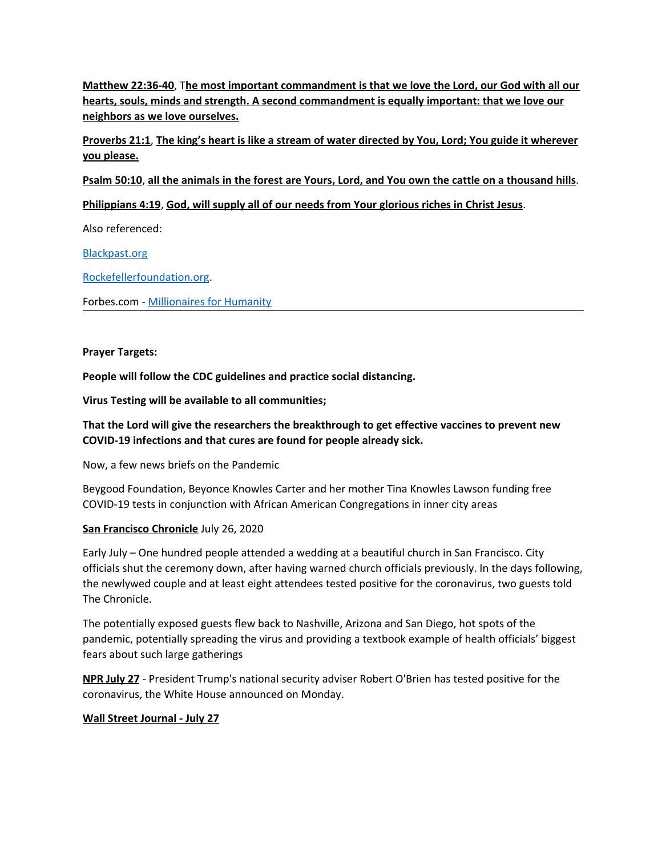**Matthew 22:36-40**, T**he most important commandment is that we love the Lord, our God with all our hearts, souls, minds and strength. A second commandment is equally important: that we love our neighbors as we love ourselves.**

Proverbs 21:1, The king's heart is like a stream of water directed by You, Lord; You guide it wherever **you please.**

Psalm 50:10, all the animals in the forest are Yours, Lord, and You own the cattle on a thousand hills.

## **Philippians 4:19**, **God, will supply all of our needs from Your glorious riches in Christ Jesus**.

Also referenced:

[Blackpast.org](http://blackpast.org/)

[Rockefellerfoundation.org.](http://rockefellerfoundation.org/)

Forbes.com - [Millionaires](http://millionairesforhumanity.org/) for Humanity

**Prayer Targets:**

**People will follow the CDC guidelines and practice social distancing.**

**Virus Testing will be available to all communities;**

**That the Lord will give the researchers the breakthrough to get effective vaccines to prevent new COVID-19 infections and that cures are found for people already sick.**

Now, a few news briefs on the Pandemic

Beygood Foundation, Beyonce Knowles Carter and her mother Tina Knowles Lawson funding free COVID-19 tests in conjunction with African American Congregations in inner city areas

### **San Francisco Chronicle** July 26, 2020

Early July – One hundred people attended a wedding at a beautiful church in San Francisco. City officials shut the ceremony down, after having warned church officials previously. In the days following, the newlywed couple and at least eight attendees tested positive for the coronavirus, two guests told The Chronicle.

The potentially exposed guests flew back to Nashville, Arizona and San Diego, hot spots of the pandemic, potentially spreading the virus and providing a textbook example of health officials' biggest fears about such large gatherings

**NPR July 27** - President Trump's national security adviser Robert O'Brien has tested positive for the coronavirus, the White House announced on Monday.

### **Wall Street Journal - July 27**